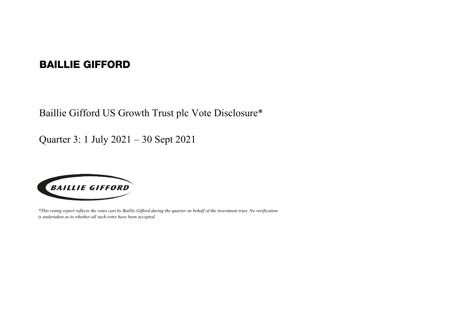## BAILLIE GIFFORD

Baillie Gifford US Growth Trust plc Vote Disclosure\*

Quarter 3: 1 July 2021 – 30 Sept 2021



*\*This voting report reflects the votes cast by Baillie Gifford during the quarter on behalf of the investment trust. No verification is undertaken as to whether all such votes have been accepted.*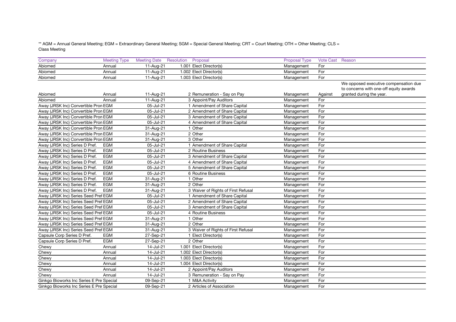\*\* AGM = Annual General Meeting; EGM = Extraordinary General Meeting; SGM = Special General Meeting; CRT = Court Meeting; OTH = Other Meeting; CLS = Class Meeting

| Company                                  | <b>Meeting Type</b> | <b>Meeting Date</b>     | Resolution<br>Proposal              | <b>Proposal Type</b> | Vote Cast Reason |                                        |
|------------------------------------------|---------------------|-------------------------|-------------------------------------|----------------------|------------------|----------------------------------------|
| Abiomed                                  | Annual              | 11-Aug-21               | 1.001 Elect Director(s)             | Management           | For              |                                        |
| Abiomed                                  | Annual              | 11-Aug-21               | 1.002 Elect Director(s)             | Management           | For              |                                        |
| Abiomed                                  | Annual              | 11-Aug-21               | 1.003 Elect Director(s)             | Management           | For              |                                        |
|                                          |                     |                         |                                     |                      |                  | We opposed executive compensation due  |
|                                          |                     |                         |                                     |                      |                  | to concerns with one-off equity awards |
| Abiomed                                  | Annual              | 11-Aug-21               | 2 Remuneration - Say on Pay         | Management           | Against          | granted during the year.               |
| Abiomed                                  | Annual              | 11-Aug-21               | 3 Appoint/Pay Auditors              | Management           | For              |                                        |
| Away (JRSK Inc) Convertible Pron EGM     |                     | 05-Jul-21               | 1 Amendment of Share Capital        | Management           | For              |                                        |
| Away (JRSK Inc) Convertible Pron EGM     |                     | 05-Jul-21               | 2 Amendment of Share Capital        | Management           | For              |                                        |
| Away (JRSK Inc) Convertible Pron EGM     |                     | 05-Jul-21               | 3 Amendment of Share Capital        | Management           | For              |                                        |
| Away (JRSK Inc) Convertible Pron EGM     |                     | $\overline{05}$ -Jul-21 | 4 Amendment of Share Capital        | Management           | For              |                                        |
| Away (JRSK Inc) Convertible Pron EGM     |                     | 31-Aug-21               | 1 Other                             | Management           | For              |                                        |
| Away (JRSK Inc) Convertible Pron EGM     |                     | 31-Aug-21               | 2 Other                             | Management           | For              |                                        |
| Away (JRSK Inc) Convertible Pron EGM     |                     | $\overline{3}$ 1-Aug-21 | 3 Other                             | Management           | For              |                                        |
| Away (JRSK Inc) Series D Pref.           | EGM                 | 05-Jul-21               | 1 Amendment of Share Capital        | Management           | For              |                                        |
| Away (JRSK Inc) Series D Pref.           | EGM                 | 05-Jul-21               | 2 Routine Business                  | Management           | For              |                                        |
| Away (JRSK Inc) Series D Pref.           | EGM                 | 05-Jul-21               | 3 Amendment of Share Capital        | Management           | For              |                                        |
| Away (JRSK Inc) Series D Pref.           | <b>EGM</b>          | 05-Jul-21               | 4 Amendment of Share Capital        | Management           | For              |                                        |
| Away (JRSK Inc) Series D Pref.           | EGM                 | 05-Jul-21               | 5 Amendment of Share Capital        | Management           | For              |                                        |
| Away (JRSK Inc) Series D Pref.           | EGM                 | 05-Jul-21               | 6 Routine Business                  | Management           | For              |                                        |
| Away (JRSK Inc) Series D Pref.           | EGM                 | 31-Aug-21               | 1 Other                             | Management           | For              |                                        |
| Away (JRSK Inc) Series D Pref.           | <b>EGM</b>          | 31-Aug-21               | 2 Other                             | Management           | For              |                                        |
| Away (JRSK Inc) Series D Pref.           | EGM                 | 31-Aug-21               | 3 Waiver of Rights of First Refusal | Management           | For              |                                        |
| Away (JRSK Inc) Series Seed Pref EGM     |                     | 05-Jul-21               | 1 Amendment of Share Capital        | Management           | For              |                                        |
| Away (JRSK Inc) Series Seed Pref EGM     |                     | 05-Jul-21               | 2 Amendment of Share Capital        | Management           | For              |                                        |
| Away (JRSK Inc) Series Seed Pref EGM     |                     | 05-Jul-21               | 3 Amendment of Share Capital        | Management           | For              |                                        |
| Away (JRSK Inc) Series Seed Pref EGM     |                     | 05-Jul-21               | 4 Routine Business                  | Management           | For              |                                        |
| Away (JRSK Inc) Series Seed Pref EGM     |                     | 31-Aug-21               | 1 Other                             | Management           | For              |                                        |
| Away (JRSK Inc) Series Seed Pref EGM     |                     | 31-Aug-21               | 2 Other                             | Management           | For              |                                        |
| Away (JRSK Inc) Series Seed Pref EGM     |                     | 31-Aug-21               | 3 Waiver of Rights of First Refusal | Management           | For              |                                        |
| Capsule Corp Series D Pref.              | EGM                 | 27-Sep-21               | 1 Elect Director(s)                 | Management           | For              |                                        |
| Capsule Corp Series D Pref.              | EGM                 | 27-Sep-21               | 2 Other                             | Management           | For              |                                        |
| Chewy                                    | Annual              | 14-Jul-21               | 1.001 Elect Director(s)             | Management           | For              |                                        |
| Chewy                                    | Annual              | 14-Jul-21               | 1.002 Elect Director(s)             | Management           | For              |                                        |
| Chewy                                    | Annual              | 14-Jul-21               | 1.003 Elect Director(s)             | Management           | For              |                                        |
| Chewy                                    | Annual              | 14-Jul-21               | 1.004 Elect Director(s)             | Management           | For              |                                        |
| Chewy                                    | Annual              | 14-Jul-21               | 2 Appoint/Pay Auditors              | Management           | For              |                                        |
| Chewy                                    | Annual              | 14-Jul-21               | 3 Remuneration - Say on Pay         | Management           | For              |                                        |
| Ginkgo Bioworks Inc Series E Pre Special |                     | 09-Sep-21               | 1 M&A Activity                      | Management           | For              |                                        |
| Ginkgo Bioworks Inc Series E Pre Special |                     | 09-Sep-21               | 2 Articles of Association           | Management           | For              |                                        |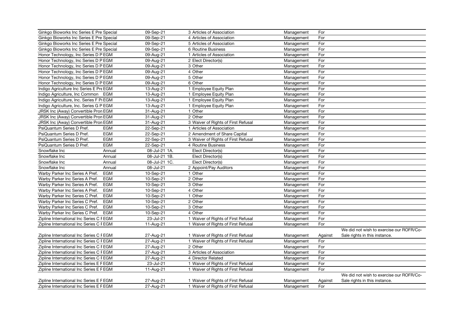| Ginkgo Bioworks Inc Series E Pre Special |            | 09-Sep-21     | 3 Articles of Association           | Management | For     |                                          |
|------------------------------------------|------------|---------------|-------------------------------------|------------|---------|------------------------------------------|
| Ginkgo Bioworks Inc Series E Pre Special |            | 09-Sep-21     | 4 Articles of Association           | Management | For     |                                          |
| Ginkgo Bioworks Inc Series E Pre Special |            | 09-Sep-21     | 5 Articles of Association           | Management | For     |                                          |
| Ginkgo Bioworks Inc Series E Pre Special |            | 09-Sep-21     | 6 Routine Business                  | Management | For     |                                          |
| Honor Technology, Inc Series D P EGM     |            | 09-Aug-21     | 1 Articles of Association           | Management | For     |                                          |
| Honor Technology, Inc Series D P EGM     |            | 09-Aug-21     | 2 Elect Director(s)                 | Management | For     |                                          |
| Honor Technology, Inc Series D P EGM     |            | 09-Aug-21     | 3 Other                             | Management | For     |                                          |
| Honor Technology, Inc Series D P EGM     |            | 09-Aug-21     | 4 Other                             | Management | For     |                                          |
| Honor Technology, Inc Series D P EGM     |            | 09-Aug-21     | 5 Other                             | Management | For     |                                          |
| Honor Technology, Inc Series D P EGM     |            | 09-Aug-21     | 6 Other                             | Management | For     |                                          |
| Indigo Agriculture Inc Series E Pre EGM  |            | 13-Aug-21     | 1 Employee Equity Plan              | Management | For     |                                          |
| Indigo Agriculture, Inc Common<br>EGM    |            | 13-Aug-21     | 1 Employee Equity Plan              | Management | For     |                                          |
| Indigo Agriculture, Inc. Series F Pi EGM |            | 13-Aug-21     | 1 Employee Equity Plan              | Management | For     |                                          |
| Indigo Agriculture, Inc. Series G P EGM  |            | 13-Aug-21     | 1 Employee Equity Plan              | Management | For     |                                          |
| JRSK Inc (Away) Convertible Pron EGM     |            | 31-Aug-21     | 1 Other                             | Management | For     |                                          |
| JRSK Inc (Away) Convertible Pron EGM     |            | 31-Aug-21     | 2 Other                             | Management | For     |                                          |
| JRSK Inc (Away) Convertible Pron EGM     |            | 31-Aug-21     | 3 Waiver of Rights of First Refusal | Management | For     |                                          |
| PsiQuantum Series D Pref.                | <b>EGM</b> | 22-Sep-21     | 1 Articles of Association           | Management | For     |                                          |
| PsiQuantum Series D Pref.                | <b>EGM</b> | 22-Sep-21     | 2 Amendment of Share Capital        | Management | For     |                                          |
| PsiQuantum Series D Pref.                | <b>EGM</b> | 22-Sep-21     | 3 Waiver of Rights of First Refusal | Management | For     |                                          |
| PsiQuantum Series D Pref.                | <b>EGM</b> | 22-Sep-21     | 4 Routine Business                  | Management | For     |                                          |
| Snowflake Inc                            | Annual     | 08-Jul-21 1A. | Elect Director(s)                   | Management | For     |                                          |
| Snowflake Inc                            | Annual     | 08-Jul-21 1B. | Elect Director(s)                   | Management | For     |                                          |
| Snowflake Inc                            | Annual     | 08-Jul-21 1C. | Elect Director(s)                   | Management | For     |                                          |
| Snowflake Inc                            | Annual     | 08-Jul-21     | 2 Appoint/Pay Auditors              | Management | For     |                                          |
| Warby Parker Inc Series A Pref.          | <b>EGM</b> | 10-Sep-21     | 1 Other                             | Management | For     |                                          |
| Warby Parker Inc Series A Pref.          | <b>EGM</b> | 10-Sep-21     | 2 Other                             | Management | For     |                                          |
| Warby Parker Inc Series A Pref.          | <b>EGM</b> | 10-Sep-21     | 3 Other                             | Management | For     |                                          |
| Warby Parker Inc Series A Pref.          | EGM        | 10-Sep-21     | 4 Other                             | Management | For     |                                          |
| Warby Parker Inc Series C Pref.          | EGM        | 10-Sep-21     | 1 Other                             | Management | For     |                                          |
| Warby Parker Inc Series C Pref.          | EGM        | 10-Sep-21     | 2 Other                             | Management | For     |                                          |
| Warby Parker Inc Series C Pref.          | EGM        | 10-Sep-21     | 3 Other                             | Management | For     |                                          |
| Warby Parker Inc Series C Pref.          | <b>EGM</b> | 10-Sep-21     | 4 Other                             | Management | For     |                                          |
| Zipline International Inc Series C FEGM  |            | 23-Jul-21     | 1 Waiver of Rights of First Refusal | Management | For     |                                          |
| Zipline International Inc Series C FEGM  |            | 11-Aug-21     | 1 Waiver of Rights of First Refusal | Management | For     |                                          |
|                                          |            |               |                                     |            |         | We did not wish to exercise our ROFR/Co- |
| Zipline International Inc Series C FEGM  |            | 27-Aug-21     | 1 Waiver of Rights of First Refusal | Management | Against | Sale rights in this instance.            |
| Zipline International Inc Series C FEGM  |            | 27-Aug-21     | 1 Waiver of Rights of First Refusal | Management | For     |                                          |
| Zipline International Inc Series C FEGM  |            | 27-Aug-21     | 2 Other                             | Management | For     |                                          |
| Zipline International Inc Series C FEGM  |            | 27-Aug-21     | 3 Articles of Association           | Management | For     |                                          |
| Zipline International Inc Series C FEGM  |            | 27-Aug-21     | 4 Director Related                  | Management | For     |                                          |
| Zipline International Inc Series E F EGM |            | 23-Jul-21     | 1 Waiver of Rights of First Refusal | Management | For     |                                          |
| Zipline International Inc Series E F EGM |            | 11-Aug-21     | 1 Waiver of Rights of First Refusal | Management | For     |                                          |
|                                          |            |               |                                     |            |         | We did not wish to exercise our ROFR/Co- |
| Zipline International Inc Series E F EGM |            | 27-Aug-21     | 1 Waiver of Rights of First Refusal | Management | Against | Sale rights in this instance.            |
| Zipline International Inc Series E F EGM |            | 27-Aug-21     | 1 Waiver of Rights of First Refusal | Management | For     |                                          |